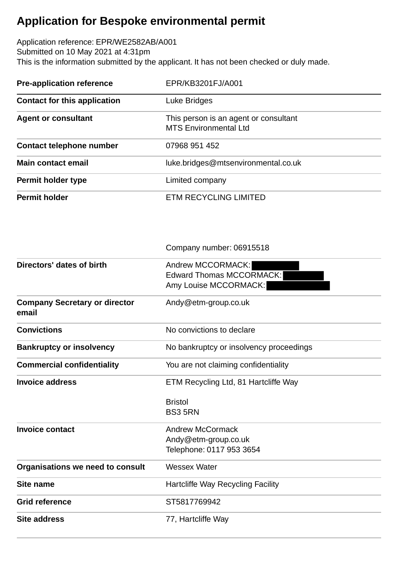## **Application for Bespoke environmental permit**

Application reference: EPR/WE2582AB/A001 Submitted on 10 May 2021 at 4:31pm This is the information submitted by the applicant. It has not been checked or duly made.

| <b>Pre-application reference</b>    | EPR/KB3201FJ/A001                                                     |  |
|-------------------------------------|-----------------------------------------------------------------------|--|
| <b>Contact for this application</b> | Luke Bridges                                                          |  |
| <b>Agent or consultant</b>          | This person is an agent or consultant<br><b>MTS Environmental Ltd</b> |  |
| <b>Contact telephone number</b>     | 07968 951 452                                                         |  |
| Main contact email                  | luke.bridges@mtsenvironmental.co.uk                                   |  |
| Permit holder type                  | Limited company                                                       |  |
| <b>Permit holder</b>                | <b>ETM RECYCLING LIMITED</b>                                          |  |

Company number: 06915518

| <b>Company Secretary or director</b><br>Andy@etm-group.co.uk<br>email<br><b>Convictions</b><br>No convictions to declare |  |
|--------------------------------------------------------------------------------------------------------------------------|--|
|                                                                                                                          |  |
|                                                                                                                          |  |
| <b>Bankruptcy or insolvency</b><br>No bankruptcy or insolvency proceedings                                               |  |
| <b>Commercial confidentiality</b><br>You are not claiming confidentiality                                                |  |
| <b>Invoice address</b><br>ETM Recycling Ltd, 81 Hartcliffe Way                                                           |  |
| <b>Bristol</b>                                                                                                           |  |
| <b>BS35RN</b>                                                                                                            |  |
| <b>Andrew McCormack</b><br><b>Invoice contact</b>                                                                        |  |
| Andy@etm-group.co.uk                                                                                                     |  |
| Telephone: 0117 953 3654                                                                                                 |  |
| Organisations we need to consult<br><b>Wessex Water</b>                                                                  |  |
| Site name<br>Hartcliffe Way Recycling Facility                                                                           |  |
| <b>Grid reference</b><br>ST5817769942                                                                                    |  |
| <b>Site address</b><br>77, Hartcliffe Way                                                                                |  |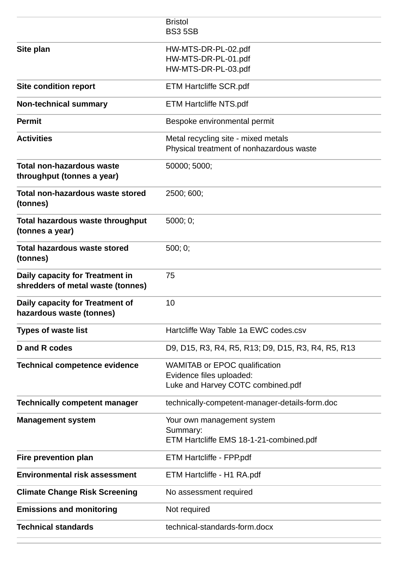|                                      | <b>Bristol</b><br><b>BS3 5SB</b>                   |
|--------------------------------------|----------------------------------------------------|
|                                      |                                                    |
| Site plan                            | HW-MTS-DR-PL-02.pdf                                |
|                                      | HW-MTS-DR-PL-01.pdf                                |
|                                      | HW-MTS-DR-PL-03.pdf                                |
| <b>Site condition report</b>         | <b>ETM Hartcliffe SCR.pdf</b>                      |
| <b>Non-technical summary</b>         | <b>ETM Hartcliffe NTS.pdf</b>                      |
| <b>Permit</b>                        | Bespoke environmental permit                       |
| <b>Activities</b>                    | Metal recycling site - mixed metals                |
|                                      | Physical treatment of nonhazardous waste           |
| <b>Total non-hazardous waste</b>     | 50000; 5000;                                       |
| throughput (tonnes a year)           |                                                    |
| Total non-hazardous waste stored     | 2500; 600;                                         |
| (tonnes)                             |                                                    |
| Total hazardous waste throughput     | 5000; 0;                                           |
| (tonnes a year)                      |                                                    |
| <b>Total hazardous waste stored</b>  | 500; 0;                                            |
| (tonnes)                             |                                                    |
| Daily capacity for Treatment in      | 75                                                 |
| shredders of metal waste (tonnes)    |                                                    |
|                                      |                                                    |
| Daily capacity for Treatment of      | 10                                                 |
| hazardous waste (tonnes)             |                                                    |
| <b>Types of waste list</b>           | Hartcliffe Way Table 1a EWC codes.csv              |
| D and R codes                        | D9, D15, R3, R4, R5, R13; D9, D15, R3, R4, R5, R13 |
| <b>Technical competence evidence</b> | <b>WAMITAB or EPOC qualification</b>               |
|                                      | Evidence files uploaded:                           |
|                                      | Luke and Harvey COTC combined.pdf                  |
| <b>Technically competent manager</b> | technically-competent-manager-details-form.doc     |
| <b>Management system</b>             | Your own management system                         |
|                                      | Summary:                                           |
|                                      | ETM Hartcliffe EMS 18-1-21-combined.pdf            |
| Fire prevention plan                 | ETM Hartcliffe - FPP.pdf                           |
| <b>Environmental risk assessment</b> | ETM Hartcliffe - H1 RA.pdf                         |
| <b>Climate Change Risk Screening</b> | No assessment required                             |
| <b>Emissions and monitoring</b>      | Not required                                       |
| <b>Technical standards</b>           | technical-standards-form.docx                      |
|                                      |                                                    |